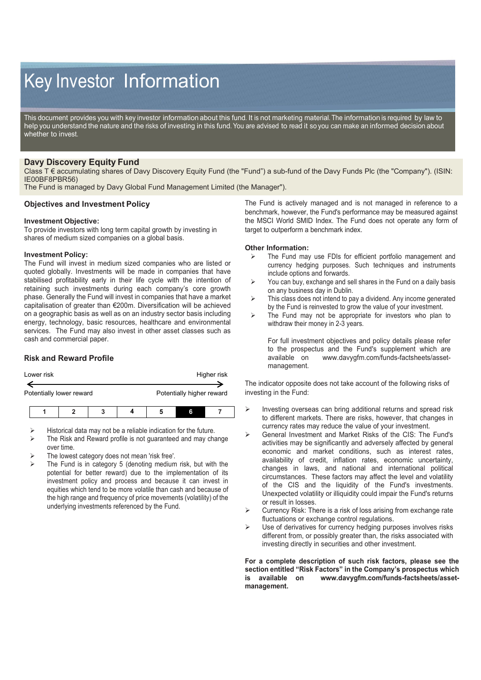# Key Investor Information

This document provides you with key investor information about this fund. It is not marketing material. The information is required by law to help you understand the nature and the risks of investing in this fund. You are advised to read it so you can make an informed decision about whether to invest.

# **Davy Discovery Equity Fund**

Class T € accumulating shares of Davy Discovery Equity Fund (the "Fund") a sub-fund of the Davy Funds Plc (the "Company"). (ISIN: IE00BF8PBR56)

The Fund is managed by Davy Global Fund Management Limited (the Manager").

## **Objectives and Investment Policy**

### **Investment Objective:**

To provide investors with long term capital growth by investing in shares of medium sized companies on a global basis.

#### **Investment Policy:**

The Fund will invest in medium sized companies who are listed or quoted globally. Investments will be made in companies that have stabilised profitability early in their life cycle with the intention of retaining such investments during each company's core growth phase. Generally the Fund will invest in companies that have a market capitalisation of greater than €200m. Diversification will be achieved on a geographic basis as well as on an industry sector basis including energy, technology, basic resources, healthcare and environmental services. The Fund may also invest in other asset classes such as cash and commercial paper.

## **Risk and Reward Profile**

| Lower risk               | Higher risk               |
|--------------------------|---------------------------|
|                          |                           |
| Potentially lower reward | Potentially higher reward |
|                          |                           |

- Historical data may not be a reliable indication for the future.
- The Risk and Reward profile is not guaranteed and may change over time.
- The lowest category does not mean 'risk free'.
- The Fund is in category 5 (denoting medium risk, but with the potential for better reward) due to the implementation of its investment policy and process and because it can invest in equities which tend to be more volatile than cash and because of the high range and frequency of price movements (volatility) of the underlying investments referenced by the Fund.

The Fund is actively managed and is not managed in reference to a benchmark, however, the Fund's performance may be measured against the MSCI World SMID Index. The Fund does not operate any form of target to outperform a benchmark index.

#### **Other Information:**

- $\triangleright$  The Fund may use FDIs for efficient portfolio management and currency hedging purposes. Such techniques and instruments include options and forwards.
- $\triangleright$  You can buy, exchange and sell shares in the Fund on a daily basis on any business day in Dublin.
- $\triangleright$  This class does not intend to pay a dividend. Any income generated by the Fund is reinvested to grow the value of your investment.
- $\triangleright$  The Fund may not be appropriate for investors who plan to withdraw their money in 2-3 years.

For full investment objectives and policy details please refer to the prospectus and the Fund's supplement which are available on www.davygfm.com/funds-factsheets/assetwww.davygfm.com/funds-factsheets/assetmanagement.

The indicator opposite does not take account of the following risks of investing in the Fund:

- $\triangleright$  Investing overseas can bring additional returns and spread risk to different markets. There are risks, however, that changes in currency rates may reduce the value of your investment.
- General Investment and Market Risks of the CIS: The Fund's activities may be significantly and adversely affected by general economic and market conditions, such as interest rates, availability of credit, inflation rates, economic uncertainty, changes in laws, and national and international political circumstances. These factors may affect the level and volatility of the CIS and the liquidity of the Fund's investments. Unexpected volatility or illiquidity could impair the Fund's returns or result in losses.
- Currency Risk: There is a risk of loss arising from exchange rate fluctuations or exchange control regulations.
- $\triangleright$  Use of derivatives for currency hedging purposes involves risks different from, or possibly greater than, the risks associated with investing directly in securities and other investment.

**For a complete description of such risk factors, please see the section entitled "Risk Factors" in the Company's prospectus which is available on www.davygfm.com/funds-factsheets/assetmanagement.**